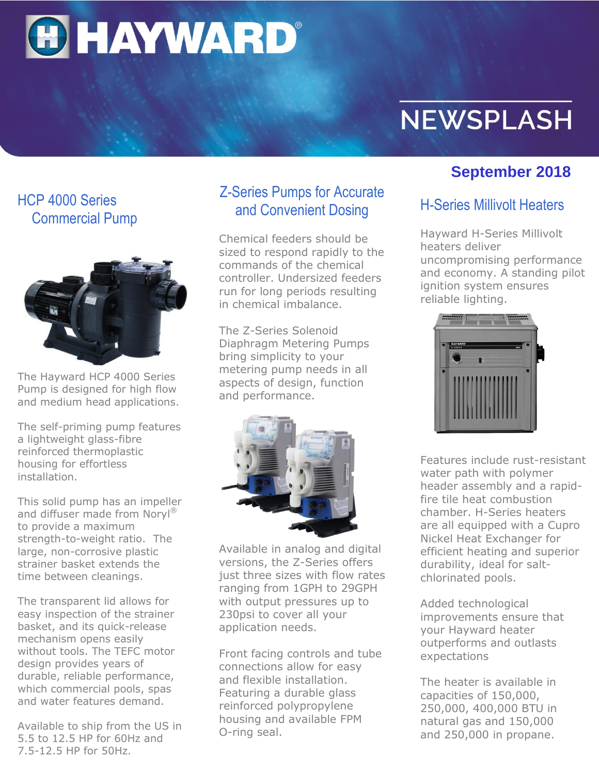**HAYWARD®** 

# **NEWSPLASH**

## HCP 4000 Series Commercial Pump



The Hayward HCP 4000 Series Pump is designed for high flow and medium head applications.

The self-priming pump features a lightweight glass-fibre reinforced thermoplastic housing for effortless installation.

This solid pump has an impeller and diffuser made from Noryl® to provide a maximum strength-to-weight ratio. The large, non-corrosive plastic strainer basket extends the time between cleanings.

The transparent lid allows for easy inspection of the strainer basket, and its quick-release mechanism opens easily without tools. The TEFC motor design provides years of durable, reliable performance, which commercial pools, spas and water features demand.

Available to ship from the US in 5.5 to 12.5 HP for 60Hz and 7.5-12.5 HP for 50Hz.

## Z-Series Pumps for Accurate and Convenient Dosing

Chemical feeders should be sized to respond rapidly to the commands of the chemical controller. Undersized feeders run for long periods resulting in chemical imbalance.

The Z-Series Solenoid Diaphragm Metering Pumps bring simplicity to your metering pump needs in all aspects of design, function and performance.



Available in analog and digital versions, the Z-Series offers just three sizes with flow rates ranging from 1GPH to 29GPH with output pressures up to 230psi to cover all your application needs.

Front facing controls and tube connections allow for easy and flexible installation. Featuring a durable glass reinforced polypropylene housing and available FPM O-ring seal.

# **September 2018**

## H-Series Millivolt Heaters

Hayward H-Series Millivolt heaters deliver uncompromising performance and economy. A standing pilot ignition system ensures

reliable lighting.



Features include rust-resistant water path with polymer header assembly and a rapidfire tile heat combustion chamber. H-Series heaters are all equipped with a Cupro Nickel Heat Exchanger for efficient heating and superior durability, ideal for saltchlorinated pools.

Added technological improvements ensure that your Hayward heater outperforms and outlasts expectations

The heater is available in capacities of 150,000, 250,000, 400,000 BTU in natural gas and 150,000 and 250,000 in propane.